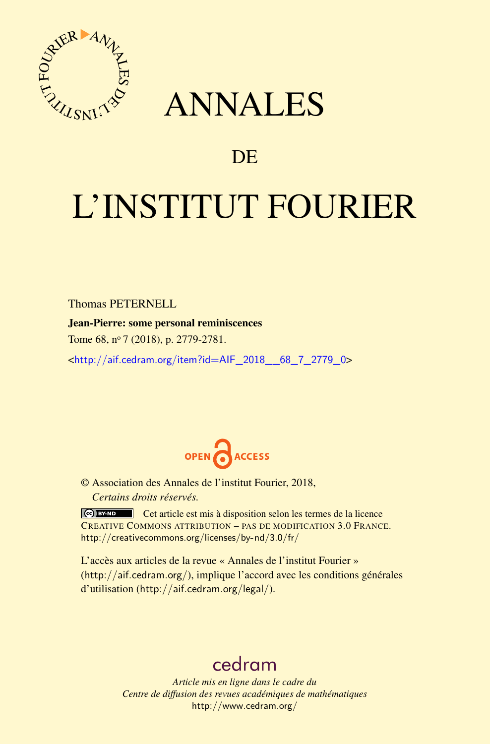

## ANNALES

### **DE**

# L'INSTITUT FOURIER

Thomas PETERNELL

Jean-Pierre: some personal reminiscences

Tome 68, n<sup>o</sup> 7 (2018), p. 2779-2781.

<[http://aif.cedram.org/item?id=AIF\\_2018\\_\\_68\\_7\\_2779\\_0](http://aif.cedram.org/item?id=AIF_2018__68_7_2779_0)>



© Association des Annales de l'institut Fourier, 2018, *Certains droits réservés.*

Cet article est mis à disposition selon les termes de la licence CREATIVE COMMONS ATTRIBUTION – PAS DE MODIFICATION 3.0 FRANCE. <http://creativecommons.org/licenses/by-nd/3.0/fr/>

L'accès aux articles de la revue « Annales de l'institut Fourier » (<http://aif.cedram.org/>), implique l'accord avec les conditions générales d'utilisation (<http://aif.cedram.org/legal/>).

## [cedram](http://www.cedram.org/)

*Article mis en ligne dans le cadre du Centre de diffusion des revues académiques de mathématiques* <http://www.cedram.org/>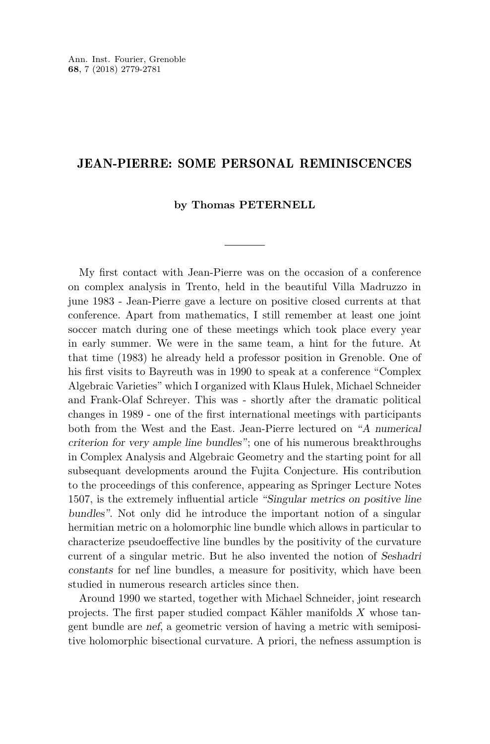#### JEAN-PIERRE: SOME PERSONAL REMINISCENCES

#### **by Thomas PETERNELL**

My first contact with Jean-Pierre was on the occasion of a conference on complex analysis in Trento, held in the beautiful Villa Madruzzo in june 1983 - Jean-Pierre gave a lecture on positive closed currents at that conference. Apart from mathematics, I still remember at least one joint soccer match during one of these meetings which took place every year in early summer. We were in the same team, a hint for the future. At that time (1983) he already held a professor position in Grenoble. One of his first visits to Bayreuth was in 1990 to speak at a conference "Complex Algebraic Varieties" which I organized with Klaus Hulek, Michael Schneider and Frank-Olaf Schreyer. This was - shortly after the dramatic political changes in 1989 - one of the first international meetings with participants both from the West and the East. Jean-Pierre lectured on "A numerical criterion for very ample line bundles"; one of his numerous breakthroughs in Complex Analysis and Algebraic Geometry and the starting point for all subsequant developments around the Fujita Conjecture. His contribution to the proceedings of this conference, appearing as Springer Lecture Notes 1507, is the extremely influential article "Singular metrics on positive line bundles". Not only did he introduce the important notion of a singular hermitian metric on a holomorphic line bundle which allows in particular to characterize pseudoeffective line bundles by the positivity of the curvature current of a singular metric. But he also invented the notion of Seshadri constants for nef line bundles, a measure for positivity, which have been studied in numerous research articles since then.

Around 1990 we started, together with Michael Schneider, joint research projects. The first paper studied compact Kähler manifolds *X* whose tangent bundle are nef, a geometric version of having a metric with semipositive holomorphic bisectional curvature. A priori, the nefness assumption is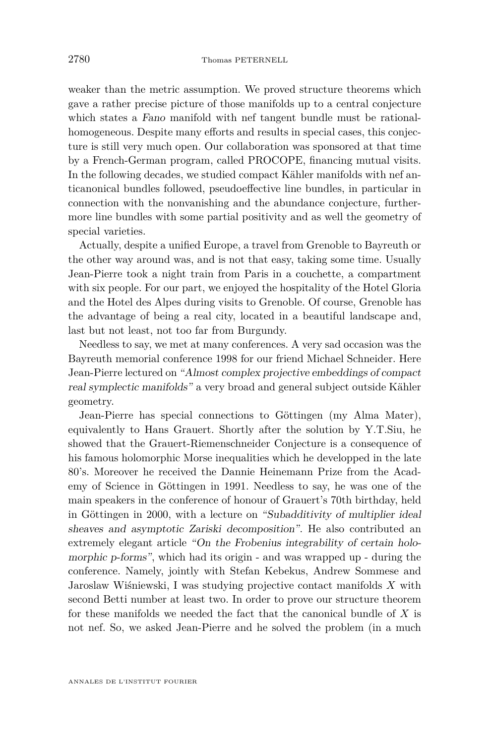weaker than the metric assumption. We proved structure theorems which gave a rather precise picture of those manifolds up to a central conjecture which states a Fano manifold with nef tangent bundle must be rationalhomogeneous. Despite many efforts and results in special cases, this conjecture is still very much open. Our collaboration was sponsored at that time by a French-German program, called PROCOPE, financing mutual visits. In the following decades, we studied compact Kähler manifolds with nef anticanonical bundles followed, pseudoeffective line bundles, in particular in connection with the nonvanishing and the abundance conjecture, furthermore line bundles with some partial positivity and as well the geometry of special varieties.

Actually, despite a unified Europe, a travel from Grenoble to Bayreuth or the other way around was, and is not that easy, taking some time. Usually Jean-Pierre took a night train from Paris in a couchette, a compartment with six people. For our part, we enjoyed the hospitality of the Hotel Gloria and the Hotel des Alpes during visits to Grenoble. Of course, Grenoble has the advantage of being a real city, located in a beautiful landscape and, last but not least, not too far from Burgundy.

Needless to say, we met at many conferences. A very sad occasion was the Bayreuth memorial conference 1998 for our friend Michael Schneider. Here Jean-Pierre lectured on "Almost complex projective embeddings of compact real symplectic manifolds" a very broad and general subject outside Kähler geometry.

Jean-Pierre has special connections to Göttingen (my Alma Mater), equivalently to Hans Grauert. Shortly after the solution by Y.T.Siu, he showed that the Grauert-Riemenschneider Conjecture is a consequence of his famous holomorphic Morse inequalities which he developped in the late 80's. Moreover he received the Dannie Heinemann Prize from the Academy of Science in Göttingen in 1991. Needless to say, he was one of the main speakers in the conference of honour of Grauert's 70th birthday, held in Göttingen in 2000, with a lecture on "Subadditivity of multiplier ideal sheaves and asymptotic Zariski decomposition". He also contributed an extremely elegant article "On the Frobenius integrability of certain holomorphic p-forms", which had its origin - and was wrapped up - during the conference. Namely, jointly with Stefan Kebekus, Andrew Sommese and Jaroslaw Wiśniewski, I was studying projective contact manifolds *X* with second Betti number at least two. In order to prove our structure theorem for these manifolds we needed the fact that the canonical bundle of *X* is not nef. So, we asked Jean-Pierre and he solved the problem (in a much